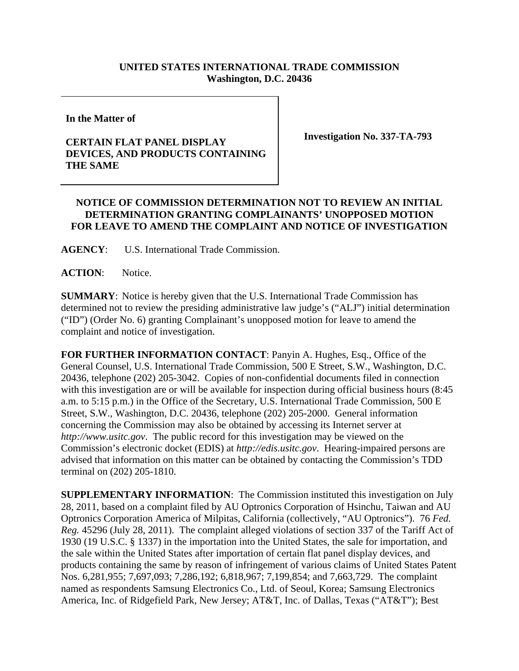## **UNITED STATES INTERNATIONAL TRADE COMMISSION Washington, D.C. 20436**

**In the Matter of** 

## **CERTAIN FLAT PANEL DISPLAY DEVICES, AND PRODUCTS CONTAINING THE SAME**

**Investigation No. 337-TA-793** 

## **NOTICE OF COMMISSION DETERMINATION NOT TO REVIEW AN INITIAL DETERMINATION GRANTING COMPLAINANTS' UNOPPOSED MOTION FOR LEAVE TO AMEND THE COMPLAINT AND NOTICE OF INVESTIGATION**

**AGENCY**: U.S. International Trade Commission.

**ACTION**: Notice.

**SUMMARY**: Notice is hereby given that the U.S. International Trade Commission has determined not to review the presiding administrative law judge's ("ALJ") initial determination ("ID") (Order No. 6) granting Complainant's unopposed motion for leave to amend the complaint and notice of investigation.

**FOR FURTHER INFORMATION CONTACT**: Panyin A. Hughes, Esq., Office of the General Counsel, U.S. International Trade Commission, 500 E Street, S.W., Washington, D.C. 20436, telephone (202) 205-3042. Copies of non-confidential documents filed in connection with this investigation are or will be available for inspection during official business hours (8:45 a.m. to 5:15 p.m.) in the Office of the Secretary, U.S. International Trade Commission, 500 E Street, S.W., Washington, D.C. 20436, telephone (202) 205-2000. General information concerning the Commission may also be obtained by accessing its Internet server at *http://www.usitc.gov*. The public record for this investigation may be viewed on the Commission's electronic docket (EDIS) at *http://edis.usitc.gov*. Hearing-impaired persons are advised that information on this matter can be obtained by contacting the Commission's TDD terminal on (202) 205-1810.

**SUPPLEMENTARY INFORMATION**: The Commission instituted this investigation on July 28, 2011, based on a complaint filed by AU Optronics Corporation of Hsinchu, Taiwan and AU Optronics Corporation America of Milpitas, California (collectively, "AU Optronics"). 76 *Fed. Reg.* 45296 (July 28, 2011). The complaint alleged violations of section 337 of the Tariff Act of 1930 (19 U.S.C. § 1337) in the importation into the United States, the sale for importation, and the sale within the United States after importation of certain flat panel display devices, and products containing the same by reason of infringement of various claims of United States Patent Nos. 6,281,955; 7,697,093; 7,286,192; 6,818,967; 7,199,854; and 7,663,729. The complaint named as respondents Samsung Electronics Co., Ltd. of Seoul, Korea; Samsung Electronics America, Inc. of Ridgefield Park, New Jersey; AT&T, Inc. of Dallas, Texas ("AT&T"); Best